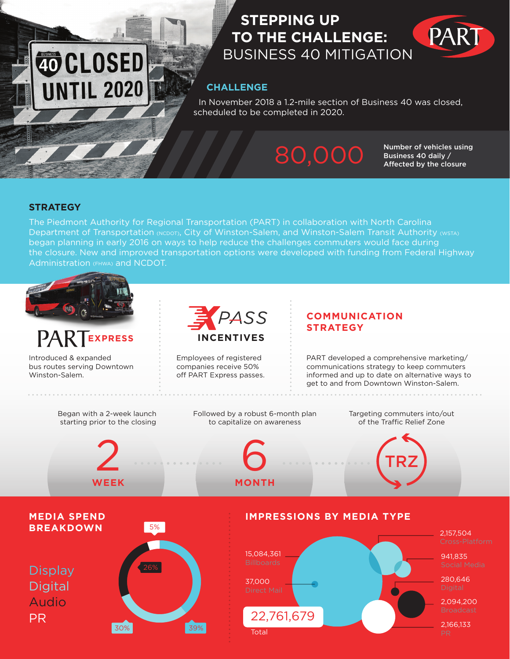## **STEPPING UP TO THE CHALLENGE:** BUSINESS 40 MITIGATION



### **CHALLENGE**

In November 2018 a 1.2-mile section of Business 40 was closed, scheduled to be completed in 2020.

# 80,000

Number of vehicles using Business 40 daily / Affected by the closure

### **STRATEGY**

40 CLOSED

**INTIL 2020** 

The Piedmont Authority for Regional Transportation (PART) in collaboration with North Carolina Department of Transportation (NCDOT), City of Winston-Salem, and Winston-Salem Transit Authority (WSTA) began planning in early 2016 on ways to help reduce the challenges commuters would face during the closure. New and improved transportation options were developed with funding from Federal Highway Administration (FHWA) and NCDOT.